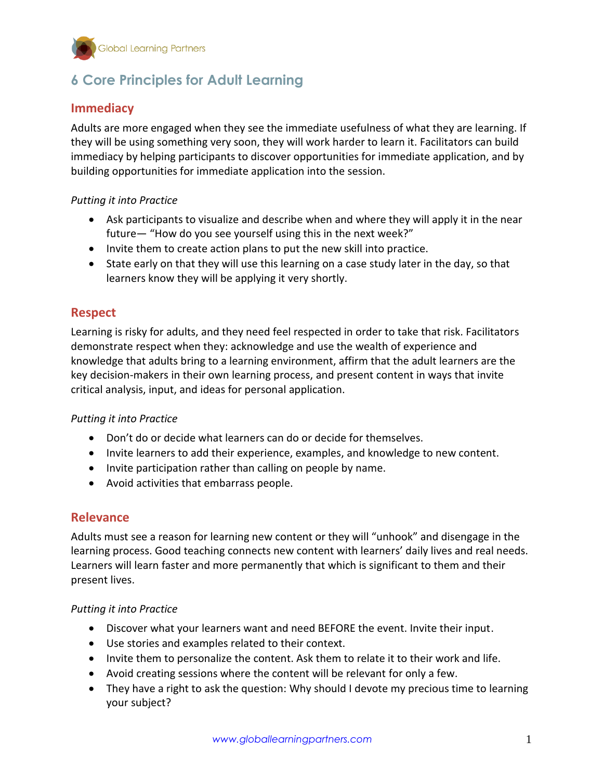

# **6 Core Principles for Adult Learning**

# **Immediacy**

Adults are more engaged when they see the immediate usefulness of what they are learning. If they will be using something very soon, they will work harder to learn it. Facilitators can build immediacy by helping participants to discover opportunities for immediate application, and by building opportunities for immediate application into the session.

#### *Putting it into Practice*

- Ask participants to visualize and describe when and where they will apply it in the near future— "How do you see yourself using this in the next week?"
- Invite them to create action plans to put the new skill into practice.
- State early on that they will use this learning on a case study later in the day, so that learners know they will be applying it very shortly.

# **Respect**

Learning is risky for adults, and they need feel respected in order to take that risk. Facilitators demonstrate respect when they: acknowledge and use the wealth of experience and knowledge that adults bring to a learning environment, affirm that the adult learners are the key decision-makers in their own learning process, and present content in ways that invite critical analysis, input, and ideas for personal application.

#### *Putting it into Practice*

- Don't do or decide what learners can do or decide for themselves.
- Invite learners to add their experience, examples, and knowledge to new content.
- Invite participation rather than calling on people by name.
- Avoid activities that embarrass people.

### **Relevance**

Adults must see a reason for learning new content or they will "unhook" and disengage in the learning process. Good teaching connects new content with learners' daily lives and real needs. Learners will learn faster and more permanently that which is significant to them and their present lives.

#### *Putting it into Practice*

- Discover what your learners want and need BEFORE the event. Invite their input.
- Use stories and examples related to their context.
- Invite them to personalize the content. Ask them to relate it to their work and life.
- Avoid creating sessions where the content will be relevant for only a few.
- They have a right to ask the question: Why should I devote my precious time to learning your subject?